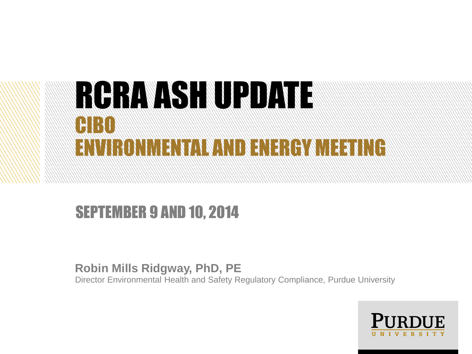### RGRAVISH URDA CIBO ENVIRONMENTAL AND ENERGYMEETING

#### SEPTEMBER 9 AND 10, 2014

**Robin Mills Ridgway, PhD, PE** Director Environmental Health and Safety Regulatory Compliance, Purdue University

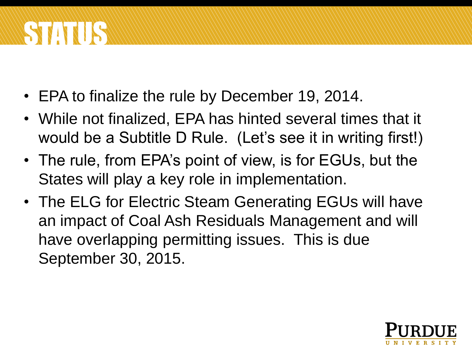# STATUS

- EPA to finalize the rule by December 19, 2014.
- While not finalized, EPA has hinted several times that it would be a Subtitle D Rule. (Let's see it in writing first!)
- The rule, from EPA's point of view, is for EGUs, but the States will play a key role in implementation.
- The ELG for Electric Steam Generating EGUs will have an impact of Coal Ash Residuals Management and will have overlapping permitting issues. This is due September 30, 2015.

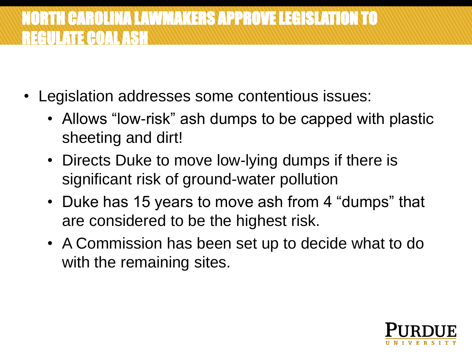#### NORTH CAROLINA LAWMAKERS APPROVE LEGISLATION TO REGULATE COAL ASHA

- Legislation addresses some contentious issues:
	- Allows "low-risk" ash dumps to be capped with plastic sheeting and dirt!
	- Directs Duke to move low-lying dumps if there is significant risk of ground-water pollution
	- Duke has 15 years to move ash from 4 "dumps" that are considered to be the highest risk.
	- A Commission has been set up to decide what to do with the remaining sites.

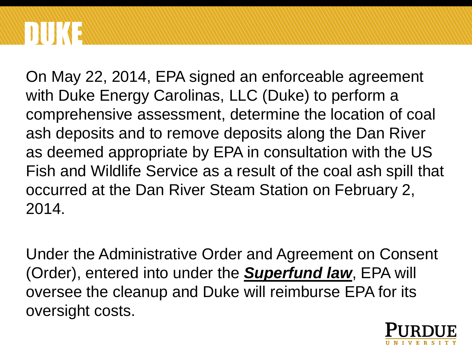## DUKE

On May 22, 2014, EPA signed an enforceable agreement with Duke Energy Carolinas, LLC (Duke) to perform a comprehensive assessment, determine the location of coal ash deposits and to remove deposits along the Dan River as deemed appropriate by EPA in consultation with the US Fish and Wildlife Service as a result of the coal ash spill that occurred at the Dan River Steam Station on February 2, 2014.

Under the Administrative Order and Agreement on Consent (Order), entered into under the *Superfund law*, EPA will oversee the cleanup and Duke will reimburse EPA for its oversight costs.

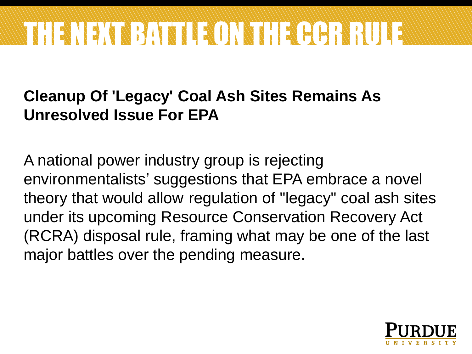

#### **Cleanup Of 'Legacy' Coal Ash Sites Remains As Unresolved Issue For EPA**

A national power industry group is rejecting environmentalists' suggestions that EPA embrace a novel theory that would allow regulation of "legacy" coal ash sites under its upcoming Resource Conservation Recovery Act (RCRA) disposal rule, framing what may be one of the last major battles over the pending measure.

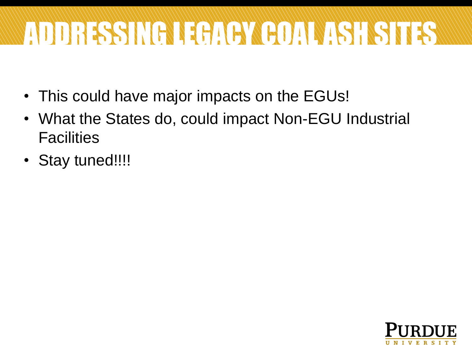# ADDRESSING LEGACY COAL ASH SITES A

- This could have major impacts on the EGUs!
- What the States do, could impact Non-EGU Industrial **Facilities**
- Stay tuned!!!!

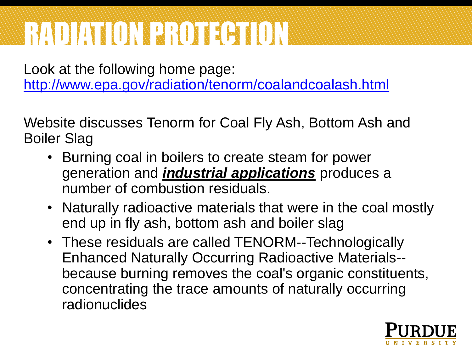### RADIATION PROTECTION

Look at the following home page: <http://www.epa.gov/radiation/tenorm/coalandcoalash.html>

Website discusses Tenorm for Coal Fly Ash, Bottom Ash and Boiler Slag

- Burning coal in boilers to create steam for power generation and *industrial applications* produces a number of combustion residuals.
- Naturally radioactive materials that were in the coal mostly end up in fly ash, bottom ash and boiler slag
- These residuals are called TENORM--Technologically Enhanced Naturally Occurring Radioactive Materials- because burning removes the coal's organic constituents, concentrating the trace amounts of naturally occurring radionuclides